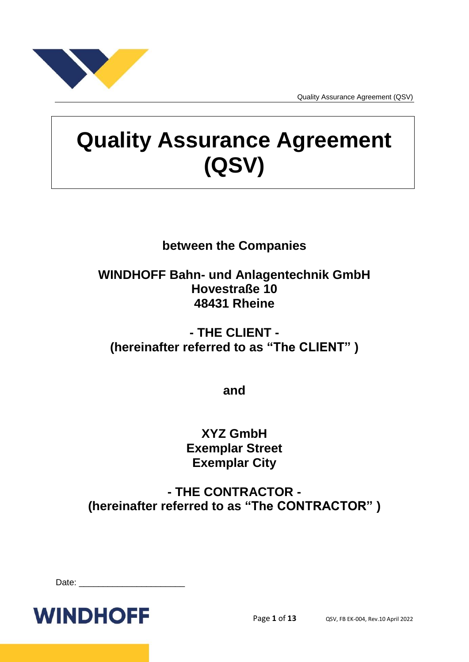

# **Quality Assurance Agreement (QSV)**

# **between the Companies**

# **WINDHOFF Bahn- und Anlagentechnik GmbH Hovestraße 10 48431 Rheine**

# **- THE CLIENT - (hereinafter referred to as "The CLIENT" )**

**and**

# **XYZ GmbH Exemplar Street Exemplar City**

**- THE CONTRACTOR - (hereinafter referred to as "The CONTRACTOR" )**

| Date: |
|-------|
|-------|

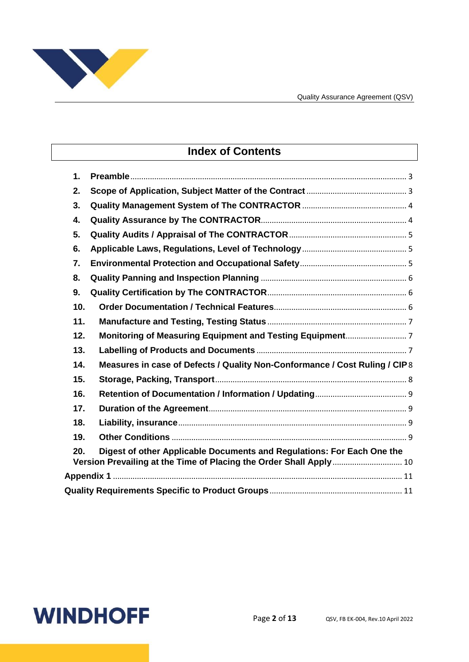

# **Index of Contents**

| $\mathbf 1$ . |                                                                                                                                              |
|---------------|----------------------------------------------------------------------------------------------------------------------------------------------|
| 2.            |                                                                                                                                              |
| 3.            |                                                                                                                                              |
| 4.            |                                                                                                                                              |
| 5.            |                                                                                                                                              |
| 6.            |                                                                                                                                              |
| 7.            |                                                                                                                                              |
| 8.            |                                                                                                                                              |
| 9.            |                                                                                                                                              |
| 10.           |                                                                                                                                              |
| 11.           |                                                                                                                                              |
| 12.           |                                                                                                                                              |
| 13.           |                                                                                                                                              |
| 14.           | Measures in case of Defects / Quality Non-Conformance / Cost Ruling / CIP8                                                                   |
| 15.           |                                                                                                                                              |
| 16.           |                                                                                                                                              |
| 17.           |                                                                                                                                              |
| 18.           |                                                                                                                                              |
| 19.           |                                                                                                                                              |
| 20.           | Digest of other Applicable Documents and Regulations: For Each One the<br>Version Prevailing at the Time of Placing the Order Shall Apply 10 |
|               |                                                                                                                                              |
|               |                                                                                                                                              |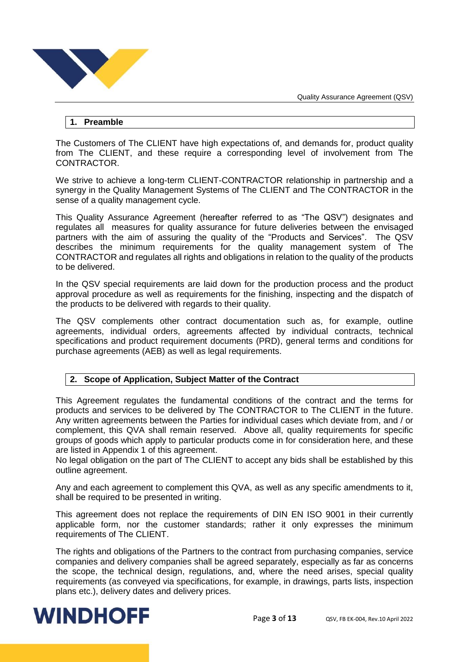

#### <span id="page-2-0"></span>**1. Preamble**

The Customers of The CLIENT have high expectations of, and demands for, product quality from The CLIENT, and these require a corresponding level of involvement from The CONTRACTOR.

We strive to achieve a long-term CLIENT-CONTRACTOR relationship in partnership and a synergy in the Quality Management Systems of The CLIENT and The CONTRACTOR in the sense of a quality management cycle.

This Quality Assurance Agreement (hereafter referred to as "The QSV") designates and regulates all measures for quality assurance for future deliveries between the envisaged partners with the aim of assuring the quality of the "Products and Services". The QSV describes the minimum requirements for the quality management system of The CONTRACTOR and regulates all rights and obligations in relation to the quality of the products to be delivered.

In the QSV special requirements are laid down for the production process and the product approval procedure as well as requirements for the finishing, inspecting and the dispatch of the products to be delivered with regards to their quality.

The QSV complements other contract documentation such as, for example, outline agreements, individual orders, agreements affected by individual contracts, technical specifications and product requirement documents (PRD), general terms and conditions for purchase agreements (AEB) as well as legal requirements.

# <span id="page-2-1"></span>**2. Scope of Application, Subject Matter of the Contract**

This Agreement regulates the fundamental conditions of the contract and the terms for products and services to be delivered by The CONTRACTOR to The CLIENT in the future. Any written agreements between the Parties for individual cases which deviate from, and / or complement, this QVA shall remain reserved. Above all, quality requirements for specific groups of goods which apply to particular products come in for consideration here, and these are listed in Appendix 1 of this agreement.

No legal obligation on the part of The CLIENT to accept any bids shall be established by this outline agreement.

Any and each agreement to complement this QVA, as well as any specific amendments to it, shall be required to be presented in writing.

This agreement does not replace the requirements of DIN EN ISO 9001 in their currently applicable form, nor the customer standards; rather it only expresses the minimum requirements of The CLIENT.

The rights and obligations of the Partners to the contract from purchasing companies, service companies and delivery companies shall be agreed separately, especially as far as concerns the scope, the technical design, regulations, and, where the need arises, special quality requirements (as conveyed via specifications, for example, in drawings, parts lists, inspection plans etc.), delivery dates and delivery prices.

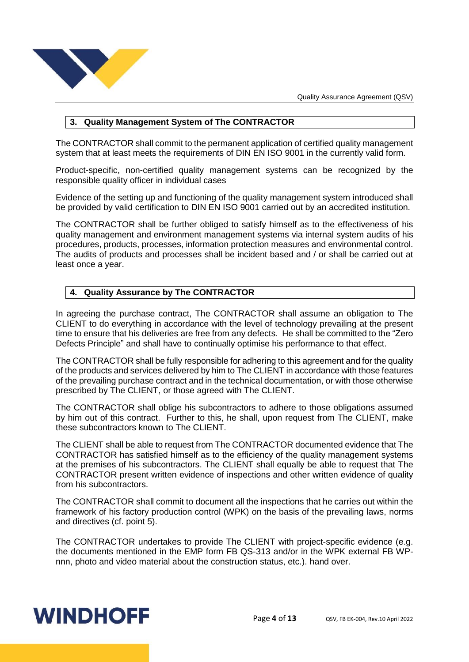

# <span id="page-3-0"></span>**3. Quality Management System of The CONTRACTOR**

The CONTRACTOR shall commit to the permanent application of certified quality management system that at least meets the requirements of DIN EN ISO 9001 in the currently valid form.

Product-specific, non-certified quality management systems can be recognized by the responsible quality officer in individual cases

Evidence of the setting up and functioning of the quality management system introduced shall be provided by valid certification to DIN EN ISO 9001 carried out by an accredited institution.

The CONTRACTOR shall be further obliged to satisfy himself as to the effectiveness of his quality management and environment management systems via internal system audits of his procedures, products, processes, information protection measures and environmental control. The audits of products and processes shall be incident based and / or shall be carried out at least once a year.

# <span id="page-3-1"></span>**4. Quality Assurance by The CONTRACTOR**

In agreeing the purchase contract, The CONTRACTOR shall assume an obligation to The CLIENT to do everything in accordance with the level of technology prevailing at the present time to ensure that his deliveries are free from any defects. He shall be committed to the "Zero Defects Principle" and shall have to continually optimise his performance to that effect.

The CONTRACTOR shall be fully responsible for adhering to this agreement and for the quality of the products and services delivered by him to The CLIENT in accordance with those features of the prevailing purchase contract and in the technical documentation, or with those otherwise prescribed by The CLIENT, or those agreed with The CLIENT.

The CONTRACTOR shall oblige his subcontractors to adhere to those obligations assumed by him out of this contract. Further to this, he shall, upon request from The CLIENT, make these subcontractors known to The CLIENT.

The CLIENT shall be able to request from The CONTRACTOR documented evidence that The CONTRACTOR has satisfied himself as to the efficiency of the quality management systems at the premises of his subcontractors. The CLIENT shall equally be able to request that The CONTRACTOR present written evidence of inspections and other written evidence of quality from his subcontractors.

The CONTRACTOR shall commit to document all the inspections that he carries out within the framework of his factory production control (WPK) on the basis of the prevailing laws, norms and directives (cf. point 5).

The CONTRACTOR undertakes to provide The CLIENT with project-specific evidence (e.g. the documents mentioned in the EMP form FB QS-313 and/or in the WPK external FB WPnnn, photo and video material about the construction status, etc.). hand over.

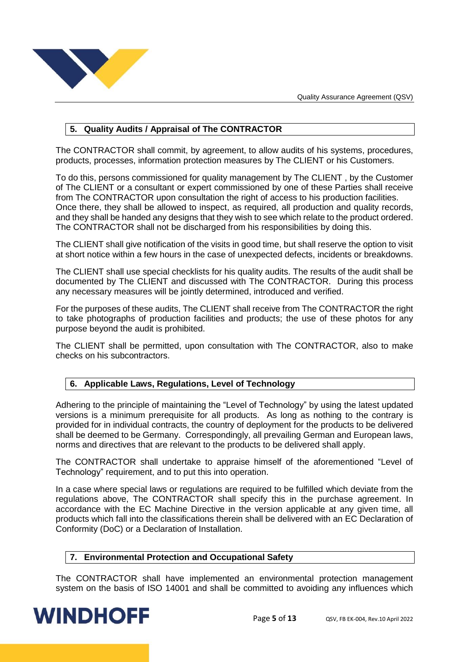

# <span id="page-4-0"></span>**5. Quality Audits / Appraisal of The CONTRACTOR**

The CONTRACTOR shall commit, by agreement, to allow audits of his systems, procedures, products, processes, information protection measures by The CLIENT or his Customers.

To do this, persons commissioned for quality management by The CLIENT , by the Customer of The CLIENT or a consultant or expert commissioned by one of these Parties shall receive from The CONTRACTOR upon consultation the right of access to his production facilities. Once there, they shall be allowed to inspect, as required, all production and quality records, and they shall be handed any designs that they wish to see which relate to the product ordered. The CONTRACTOR shall not be discharged from his responsibilities by doing this.

The CLIENT shall give notification of the visits in good time, but shall reserve the option to visit at short notice within a few hours in the case of unexpected defects, incidents or breakdowns.

The CLIENT shall use special checklists for his quality audits. The results of the audit shall be documented by The CLIENT and discussed with The CONTRACTOR. During this process any necessary measures will be jointly determined, introduced and verified.

For the purposes of these audits, The CLIENT shall receive from The CONTRACTOR the right to take photographs of production facilities and products; the use of these photos for any purpose beyond the audit is prohibited.

The CLIENT shall be permitted, upon consultation with The CONTRACTOR, also to make checks on his subcontractors.

# <span id="page-4-1"></span>**6. Applicable Laws, Regulations, Level of Technology**

Adhering to the principle of maintaining the "Level of Technology" by using the latest updated versions is a minimum prerequisite for all products. As long as nothing to the contrary is provided for in individual contracts, the country of deployment for the products to be delivered shall be deemed to be Germany. Correspondingly, all prevailing German and European laws, norms and directives that are relevant to the products to be delivered shall apply.

The CONTRACTOR shall undertake to appraise himself of the aforementioned "Level of Technology" requirement, and to put this into operation.

In a case where special laws or regulations are required to be fulfilled which deviate from the regulations above, The CONTRACTOR shall specify this in the purchase agreement. In accordance with the EC Machine Directive in the version applicable at any given time, all products which fall into the classifications therein shall be delivered with an EC Declaration of Conformity (DoC) or a Declaration of Installation.

#### <span id="page-4-2"></span>**7. Environmental Protection and Occupational Safety**

The CONTRACTOR shall have implemented an environmental protection management system on the basis of ISO 14001 and shall be committed to avoiding any influences which

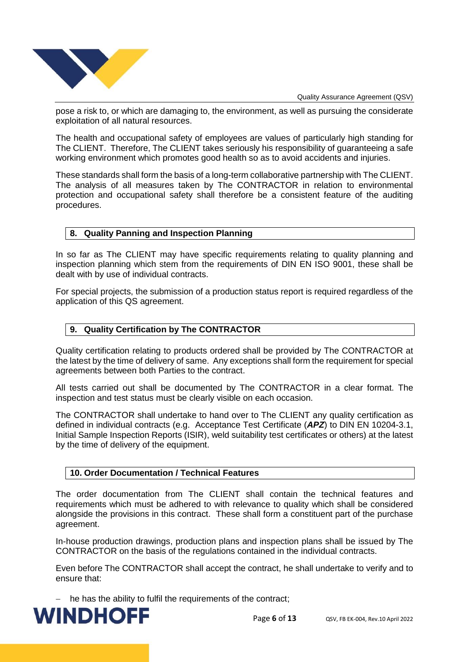

pose a risk to, or which are damaging to, the environment, as well as pursuing the considerate exploitation of all natural resources.

The health and occupational safety of employees are values of particularly high standing for The CLIENT. Therefore, The CLIENT takes seriously his responsibility of guaranteeing a safe working environment which promotes good health so as to avoid accidents and injuries.

These standards shall form the basis of a long-term collaborative partnership with The CLIENT. The analysis of all measures taken by The CONTRACTOR in relation to environmental protection and occupational safety shall therefore be a consistent feature of the auditing procedures.

### <span id="page-5-0"></span>**8. Quality Panning and Inspection Planning**

In so far as The CLIENT may have specific requirements relating to quality planning and inspection planning which stem from the requirements of DIN EN ISO 9001, these shall be dealt with by use of individual contracts.

For special projects, the submission of a production status report is required regardless of the application of this QS agreement.

### <span id="page-5-1"></span>**9. Quality Certification by The CONTRACTOR**

Quality certification relating to products ordered shall be provided by The CONTRACTOR at the latest by the time of delivery of same. Any exceptions shall form the requirement for special agreements between both Parties to the contract.

All tests carried out shall be documented by The CONTRACTOR in a clear format. The inspection and test status must be clearly visible on each occasion.

The CONTRACTOR shall undertake to hand over to The CLIENT any quality certification as defined in individual contracts (e.g. Acceptance Test Certificate (*APZ*) to DIN EN 10204-3.1, Initial Sample Inspection Reports (ISIR), weld suitability test certificates or others) at the latest by the time of delivery of the equipment.

#### <span id="page-5-2"></span>**10. Order Documentation / Technical Features**

The order documentation from The CLIENT shall contain the technical features and requirements which must be adhered to with relevance to quality which shall be considered alongside the provisions in this contract. These shall form a constituent part of the purchase agreement.

In-house production drawings, production plans and inspection plans shall be issued by The CONTRACTOR on the basis of the regulations contained in the individual contracts.

Even before The CONTRACTOR shall accept the contract, he shall undertake to verify and to ensure that:

- he has the ability to fulfil the requirements of the contract;

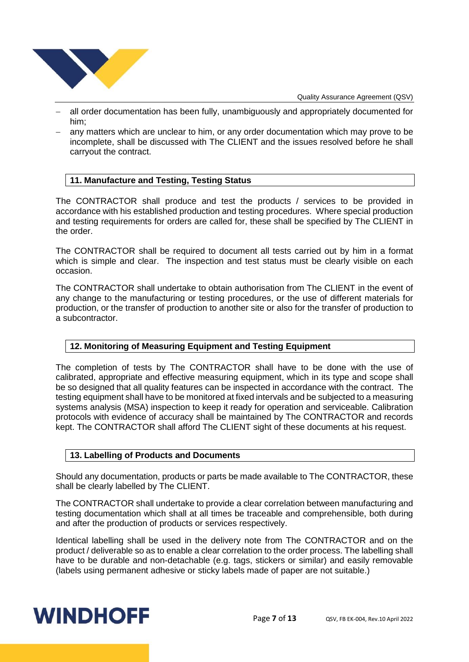

- all order documentation has been fully, unambiguously and appropriately documented for him;
- any matters which are unclear to him, or any order documentation which may prove to be incomplete, shall be discussed with The CLIENT and the issues resolved before he shall carryout the contract.

### <span id="page-6-0"></span>**11. Manufacture and Testing, Testing Status**

The CONTRACTOR shall produce and test the products / services to be provided in accordance with his established production and testing procedures. Where special production and testing requirements for orders are called for, these shall be specified by The CLIENT in the order.

The CONTRACTOR shall be required to document all tests carried out by him in a format which is simple and clear. The inspection and test status must be clearly visible on each occasion.

The CONTRACTOR shall undertake to obtain authorisation from The CLIENT in the event of any change to the manufacturing or testing procedures, or the use of different materials for production, or the transfer of production to another site or also for the transfer of production to a subcontractor.

# <span id="page-6-1"></span>**12. Monitoring of Measuring Equipment and Testing Equipment**

The completion of tests by The CONTRACTOR shall have to be done with the use of calibrated, appropriate and effective measuring equipment, which in its type and scope shall be so designed that all quality features can be inspected in accordance with the contract. The testing equipment shall have to be monitored at fixed intervals and be subjected to a measuring systems analysis (MSA) inspection to keep it ready for operation and serviceable. Calibration protocols with evidence of accuracy shall be maintained by The CONTRACTOR and records kept. The CONTRACTOR shall afford The CLIENT sight of these documents at his request.

#### <span id="page-6-2"></span>**13. Labelling of Products and Documents**

Should any documentation, products or parts be made available to The CONTRACTOR, these shall be clearly labelled by The CLIENT.

The CONTRACTOR shall undertake to provide a clear correlation between manufacturing and testing documentation which shall at all times be traceable and comprehensible, both during and after the production of products or services respectively.

Identical labelling shall be used in the delivery note from The CONTRACTOR and on the product / deliverable so as to enable a clear correlation to the order process. The labelling shall have to be durable and non-detachable (e.g. tags, stickers or similar) and easily removable (labels using permanent adhesive or sticky labels made of paper are not suitable.)

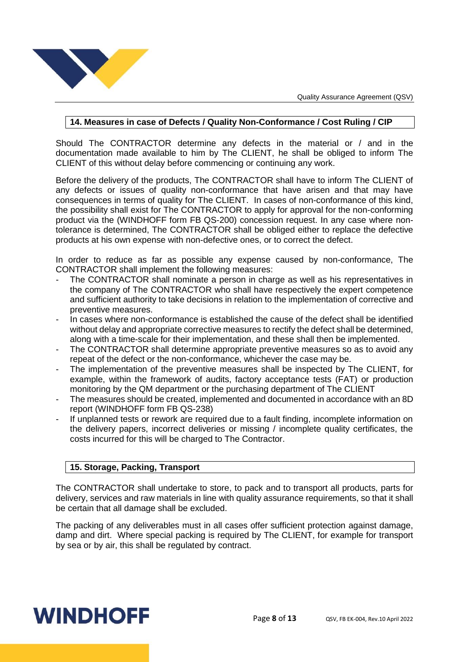

#### <span id="page-7-0"></span>**14. Measures in case of Defects / Quality Non-Conformance / Cost Ruling / CIP**

Should The CONTRACTOR determine any defects in the material or / and in the documentation made available to him by The CLIENT, he shall be obliged to inform The CLIENT of this without delay before commencing or continuing any work.

Before the delivery of the products, The CONTRACTOR shall have to inform The CLIENT of any defects or issues of quality non-conformance that have arisen and that may have consequences in terms of quality for The CLIENT. In cases of non-conformance of this kind, the possibility shall exist for The CONTRACTOR to apply for approval for the non-conforming product via the (WINDHOFF form FB QS-200) concession request. In any case where nontolerance is determined, The CONTRACTOR shall be obliged either to replace the defective products at his own expense with non-defective ones, or to correct the defect.

In order to reduce as far as possible any expense caused by non-conformance, The CONTRACTOR shall implement the following measures:

- The CONTRACTOR shall nominate a person in charge as well as his representatives in the company of The CONTRACTOR who shall have respectively the expert competence and sufficient authority to take decisions in relation to the implementation of corrective and preventive measures.
- In cases where non-conformance is established the cause of the defect shall be identified without delay and appropriate corrective measures to rectify the defect shall be determined, along with a time-scale for their implementation, and these shall then be implemented.
- The CONTRACTOR shall determine appropriate preventive measures so as to avoid any repeat of the defect or the non-conformance, whichever the case may be.
- The implementation of the preventive measures shall be inspected by The CLIENT, for example, within the framework of audits, factory acceptance tests (FAT) or production monitoring by the QM department or the purchasing department of The CLIENT
- The measures should be created, implemented and documented in accordance with an 8D report (WINDHOFF form FB QS-238)
- If unplanned tests or rework are required due to a fault finding, incomplete information on the delivery papers, incorrect deliveries or missing / incomplete quality certificates, the costs incurred for this will be charged to The Contractor.

# <span id="page-7-1"></span>**15. Storage, Packing, Transport**

The CONTRACTOR shall undertake to store, to pack and to transport all products, parts for delivery, services and raw materials in line with quality assurance requirements, so that it shall be certain that all damage shall be excluded.

The packing of any deliverables must in all cases offer sufficient protection against damage, damp and dirt. Where special packing is required by The CLIENT, for example for transport by sea or by air, this shall be regulated by contract.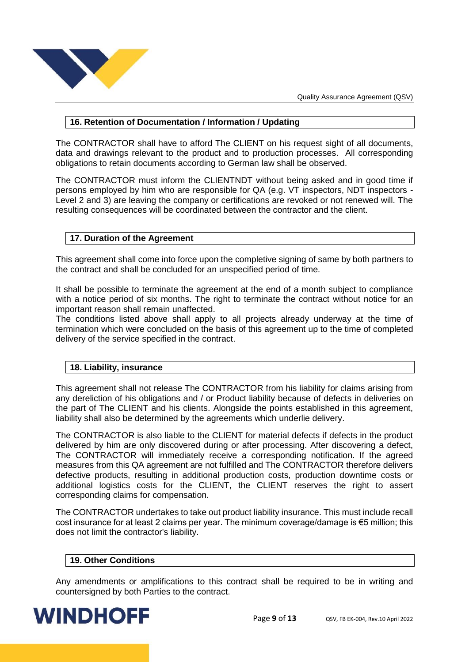

# <span id="page-8-0"></span>**16. Retention of Documentation / Information / Updating**

The CONTRACTOR shall have to afford The CLIENT on his request sight of all documents, data and drawings relevant to the product and to production processes. All corresponding obligations to retain documents according to German law shall be observed.

The CONTRACTOR must inform the CLIENTNDT without being asked and in good time if persons employed by him who are responsible for QA (e.g. VT inspectors, NDT inspectors - Level 2 and 3) are leaving the company or certifications are revoked or not renewed will. The resulting consequences will be coordinated between the contractor and the client.

# <span id="page-8-1"></span>**17. Duration of the Agreement**

This agreement shall come into force upon the completive signing of same by both partners to the contract and shall be concluded for an unspecified period of time.

It shall be possible to terminate the agreement at the end of a month subject to compliance with a notice period of six months. The right to terminate the contract without notice for an important reason shall remain unaffected.

The conditions listed above shall apply to all projects already underway at the time of termination which were concluded on the basis of this agreement up to the time of completed delivery of the service specified in the contract.

# <span id="page-8-2"></span>**18. Liability, insurance**

This agreement shall not release The CONTRACTOR from his liability for claims arising from any dereliction of his obligations and / or Product liability because of defects in deliveries on the part of The CLIENT and his clients. Alongside the points established in this agreement, liability shall also be determined by the agreements which underlie delivery.

The CONTRACTOR is also liable to the CLIENT for material defects if defects in the product delivered by him are only discovered during or after processing. After discovering a defect, The CONTRACTOR will immediately receive a corresponding notification. If the agreed measures from this QA agreement are not fulfilled and The CONTRACTOR therefore delivers defective products, resulting in additional production costs, production downtime costs or additional logistics costs for the CLIENT, the CLIENT reserves the right to assert corresponding claims for compensation.

The CONTRACTOR undertakes to take out product liability insurance. This must include recall cost insurance for at least 2 claims per year. The minimum coverage/damage is €5 million; this does not limit the contractor's liability.

#### <span id="page-8-3"></span>**19. Other Conditions**

Any amendments or amplifications to this contract shall be required to be in writing and countersigned by both Parties to the contract.

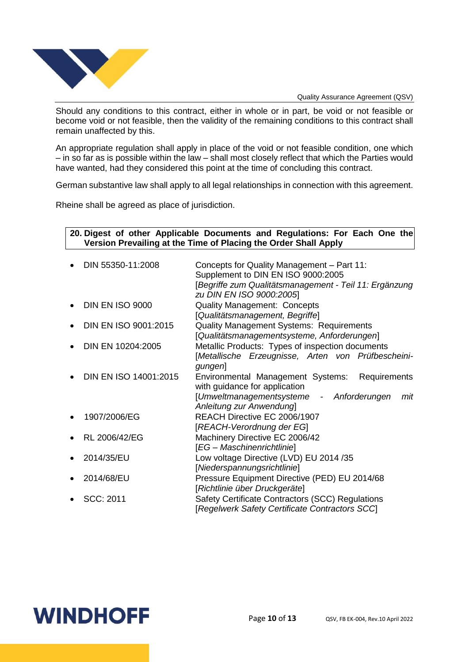

Should any conditions to this contract, either in whole or in part, be void or not feasible or become void or not feasible, then the validity of the remaining conditions to this contract shall remain unaffected by this.

An appropriate regulation shall apply in place of the void or not feasible condition, one which – in so far as is possible within the law – shall most closely reflect that which the Parties would have wanted, had they considered this point at the time of concluding this contract.

German substantive law shall apply to all legal relationships in connection with this agreement.

Rheine shall be agreed as place of jurisdiction.

### <span id="page-9-0"></span>**20. Digest of other Applicable Documents and Regulations: For Each One the Version Prevailing at the Time of Placing the Order Shall Apply**

| $\bullet$ | DIN 55350-11:2008      | Concepts for Quality Management - Part 11:<br>Supplement to DIN EN ISO 9000:2005                                                      |
|-----------|------------------------|---------------------------------------------------------------------------------------------------------------------------------------|
|           |                        | [Begriffe zum Qualitätsmanagement - Teil 11: Ergänzung<br>zu DIN EN ISO 9000:2005                                                     |
| $\bullet$ | <b>DIN EN ISO 9000</b> | <b>Quality Management: Concepts</b><br>[Qualitätsmanagement, Begriffe]                                                                |
| $\bullet$ | DIN EN ISO 9001:2015   | <b>Quality Management Systems: Requirements</b><br>[Qualitätsmanagementsysteme, Anforderungen]                                        |
|           | DIN EN 10204:2005      | Metallic Products: Types of inspection documents<br>[Metallische Erzeugnisse, Arten von Prüfbescheini-<br>gungen]                     |
| $\bullet$ | DIN EN ISO 14001:2015  | Requirements<br>Environmental Management Systems:<br>with guidance for application<br>[Umweltmanagementsysteme - Anforderungen<br>mit |
|           |                        | Anleitung zur Anwendung]                                                                                                              |
|           | 1907/2006/EG           | REACH Directive EC 2006/1907<br>[REACH-Verordnung der EG]                                                                             |
| $\bullet$ | RL 2006/42/EG          | Machinery Directive EC 2006/42<br>[EG - Maschinenrichtlinie]                                                                          |
|           | 2014/35/EU             | Low voltage Directive (LVD) EU 2014 /35<br>[Niederspannungsrichtlinie]                                                                |
|           | 2014/68/EU             | Pressure Equipment Directive (PED) EU 2014/68<br>[Richtlinie über Druckgeräte]                                                        |
|           | SCC: 2011              | Safety Certificate Contractors (SCC) Regulations<br>Regelwerk Safety Certificate Contractors SCC                                      |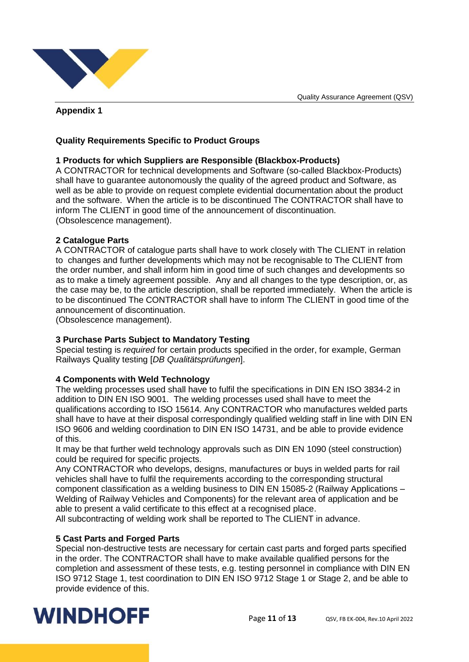

# <span id="page-10-0"></span>**Appendix 1**

# <span id="page-10-1"></span>**Quality Requirements Specific to Product Groups**

### **1 Products for which Suppliers are Responsible (Blackbox-Products)**

A CONTRACTOR for technical developments and Software (so-called Blackbox-Products) shall have to guarantee autonomously the quality of the agreed product and Software, as well as be able to provide on request complete evidential documentation about the product and the software. When the article is to be discontinued The CONTRACTOR shall have to inform The CLIENT in good time of the announcement of discontinuation. (Obsolescence management).

#### **2 Catalogue Parts**

A CONTRACTOR of catalogue parts shall have to work closely with The CLIENT in relation to changes and further developments which may not be recognisable to The CLIENT from the order number, and shall inform him in good time of such changes and developments so as to make a timely agreement possible. Any and all changes to the type description, or, as the case may be, to the article description, shall be reported immediately. When the article is to be discontinued The CONTRACTOR shall have to inform The CLIENT in good time of the announcement of discontinuation.

(Obsolescence management).

#### **3 Purchase Parts Subject to Mandatory Testing**

Special testing is *required* for certain products specified in the order, for example, German Railways Quality testing [*DB Qualitätsprüfungen*].

#### **4 Components with Weld Technology**

The welding processes used shall have to fulfil the specifications in DIN EN ISO 3834-2 in addition to DIN EN ISO 9001. The welding processes used shall have to meet the qualifications according to ISO 15614. Any CONTRACTOR who manufactures welded parts shall have to have at their disposal correspondingly qualified welding staff in line with DIN EN ISO 9606 and welding coordination to DIN EN ISO 14731, and be able to provide evidence of this.

It may be that further weld technology approvals such as DIN EN 1090 (steel construction) could be required for specific projects.

Any CONTRACTOR who develops, designs, manufactures or buys in welded parts for rail vehicles shall have to fulfil the requirements according to the corresponding structural component classification as a welding business to DIN EN 15085-2 (Railway Applications – Welding of Railway Vehicles and Components) for the relevant area of application and be able to present a valid certificate to this effect at a recognised place.

All subcontracting of welding work shall be reported to The CLIENT in advance.

#### **5 Cast Parts and Forged Parts**

Special non-destructive tests are necessary for certain cast parts and forged parts specified in the order. The CONTRACTOR shall have to make available qualified persons for the completion and assessment of these tests, e.g. testing personnel in compliance with DIN EN ISO 9712 Stage 1, test coordination to DIN EN ISO 9712 Stage 1 or Stage 2, and be able to provide evidence of this.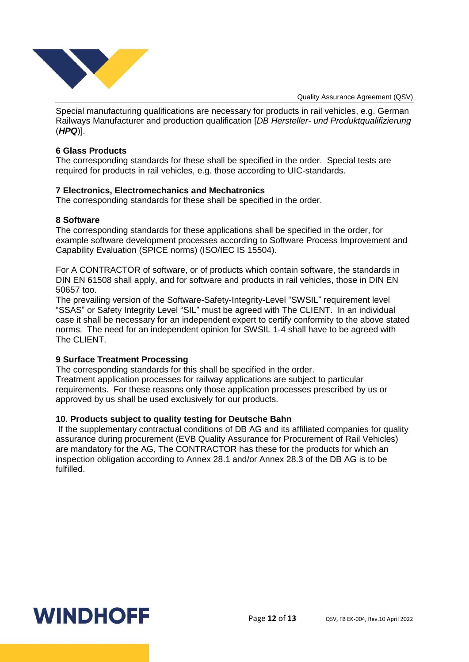

Special manufacturing qualifications are necessary for products in rail vehicles, e.g. German Railways Manufacturer and production qualification [*DB Hersteller- und Produktqualifizierung* (*HPQ*)].

#### **6 Glass Products**

The corresponding standards for these shall be specified in the order. Special tests are required for products in rail vehicles, e.g. those according to UIC-standards.

#### **7 Electronics, Electromechanics and Mechatronics**

The corresponding standards for these shall be specified in the order.

#### **8 Software**

The corresponding standards for these applications shall be specified in the order, for example software development processes according to Software Process Improvement and Capability Evaluation (SPICE norms) (ISO/IEC IS 15504).

For A CONTRACTOR of software, or of products which contain software, the standards in DIN EN 61508 shall apply, and for software and products in rail vehicles, those in DIN EN 50657 too.

The prevailing version of the Software-Safety-Integrity-Level "SWSIL" requirement level "SSAS" or Safety Integrity Level "SIL" must be agreed with The CLIENT. In an individual case it shall be necessary for an independent expert to certify conformity to the above stated norms. The need for an independent opinion for SWSIL 1-4 shall have to be agreed with The CLIENT.

#### **9 Surface Treatment Processing**

The corresponding standards for this shall be specified in the order. Treatment application processes for railway applications are subject to particular requirements. For these reasons only those application processes prescribed by us or approved by us shall be used exclusively for our products.

#### **10. Products subject to quality testing for Deutsche Bahn**

If the supplementary contractual conditions of DB AG and its affiliated companies for quality assurance during procurement (EVB Quality Assurance for Procurement of Rail Vehicles) are mandatory for the AG, The CONTRACTOR has these for the products for which an inspection obligation according to Annex 28.1 and/or Annex 28.3 of the DB AG is to be fulfilled.